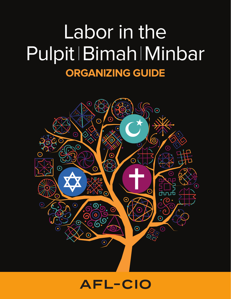# Labor in the Pulpit | Bimah | Minbar **ORGANIZING GUIDE**

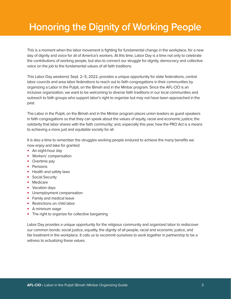### **Honoring the Dignity of Working People**

This is a moment when the labor movement is fighting for fundamental change in the workplace, for a new day of dignity and voice for all of America's workers. At this time, Labor Day is a time not only to celebrate the contributions of working people, but also to connect our struggle for dignity, democracy and collective voice on the job to the fundamental values of all faith traditions.

This Labor Day weekend, Sept. 2–5, 2022, provides a unique opportunity for state federations, central labor councils and area labor federations to reach out to faith congregations in their communities by organizing a Labor in the Pulpit, on the Bimah and in the Minbar program. Since the AFL-CIO is an inclusive organization, we want to be welcoming to diverse faith traditions in our local communities and outreach to faith groups who support labor's right to organize but may not have been approached in the past.

The Labor in the Pulpit, on the Bimah and in the Minbar program places union leaders as guest speakers in faith congregations so that they can speak about the values of equity, racial and economic justice; the solidarity that labor shares with the faith community; and, especially this year, how the PRO Act is a means to achieving a more just and equitable society for all.

It is also a time to remember the struggles working people endured to achieve the many benefits we now enjoy and take for granted:

- An eight-hour day
- Workers' compensation
- Overtime pay
- Pensions
- Health and safety laws
- Social Security
- Medicare
- Vacation days
- Unemployment compensation
- Family and medical leave
- Restrictions on child labor
- A minimum wage
- The right to organize for collective bargaining

Labor Day provides a unique opportunity for the religious community and organized labor to rediscover our common bonds: social justice, equality, the dignity of all people, racial and economic justice, and fair treatment in the workplace. It calls us to recommit ourselves to work together in partnership to be a witness to actualizing these values.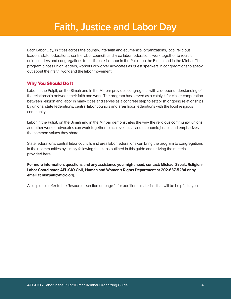### **Faith, Justice and Labor Day**

Each Labor Day, in cities across the country, interfaith and ecumenical organizations, local religious leaders, state federations, central labor councils and area labor federations work together to recruit union leaders and congregations to participate in Labor in the Pulpit, on the Bimah and in the Minbar. The program places union leaders, workers or worker advocates as guest speakers in congregations to speak out about their faith, work and the labor movement.

#### Why You Should Do It

Labor in the Pulpit, on the Bimah and in the Minbar provides congregants with a deeper understanding of the relationship between their faith and work. The program has served as a catalyst for closer cooperation between religion and labor in many cities and serves as a concrete step to establish ongoing relationships by unions, state federations, central labor councils and area labor federations with the local religious community.

Labor in the Pulpit, on the Bimah and in the Minbar demonstrates the way the religious community, unions and other worker advocates can work together to achieve social and economic justice and emphasizes the common values they share.

State federations, central labor councils and area labor federations can bring the program to congregations in their communities by simply following the steps outlined in this guide and utilizing the materials provided here.

**For more information, questions and any assistance you might need, contact: Michael Szpak, Religion-Labor Coordinator, AFL-CIO Civil, Human and Women's Rights Department at 202-637-5284 or by email at [mszpak@aflcio.org.](mailto:mszpak@aflcio.org)**

Also, please refer to the Resources section on page 11 for additional materials that will be helpful to you.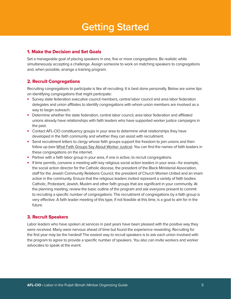### **Getting Started**

#### 1. Make the Decision and Set Goals

Set a manageable goal of placing speakers in one, five or more congregations. Be realistic while simultaneously accepting a challenge. Assign someone to work on matching speakers to congregations and, when possible, arrange a training program.

#### 2. Recruit Congregations

Recruiting congregations to participate is like all recruiting: It is best done personally. Below are some tips on identifying congregations that might participate:

- Survey state federation executive council members, central labor council and area labor federation delegates and union affiliates to identify congregations with whom union members are involved as a way to begin outreach.
- Determine whether the state federation, central labor council, area labor federation and affiliated unions already have relationships with faith leaders who have supported worker justice campaigns in the past.
- Contact AFL-CIO constituency groups in your area to determine what relationships they have developed in the faith community and whether they can assist with recruitment.
- Send recruitment letters to clergy whose faith groups support the freedom to join unions and then follow up (see [What Faith Groups Say About Worker Justice\)](http://www.aflcio.org/interfaithwj). You can find the names of faith leaders in these congregations on the internet.
- Partner with a faith labor group in your area, if one is active, to recruit congregations.
- If time permits, convene a meeting with key religious social action leaders in your area—for example, the social action director for the Catholic diocese, the president of the Black Ministerial Association, staff for the Jewish Community Relations Council, the president of Church Women United and an imam active in the community. Ensure that the religious leaders invited represent a variety of faith bodies: Catholic, Protestant, Jewish, Muslim and other faith groups that are significant in your community. At the planning meeting, review the basic outline of the program and ask everyone present to commit to recruiting a specific number of congregations. The recruitment of congregations by a faith group is very effective. A faith leader meeting of this type, if not feasible at this time, is a goal to aim for in the future.

#### 3. Recruit Speakers

Labor leaders who have spoken at services in past years have been pleased with the positive way they were received. Many were nervous ahead of time but found the experience rewarding. Recruiting for the first year may be the hardest! The easiest way to recruit speakers is to ask each union involved with the program to agree to provide a specific number of speakers. You also can invite workers and worker advocates to speak at the event.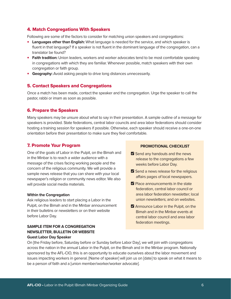#### 4. Match Congregations With Speakers

Following are some of the factors to consider for matching union speakers and congregations:

- **Languages other than English:** What language is needed for the service, and which speaker is fluent in that language? If a speaker is not fluent in the dominant language of the congregation, can a translator be found?
- **Faith tradition:** Union leaders, workers and worker advocates tend to be most comfortable speaking in congregations with which they are familiar. Whenever possible, match speakers with their own congregation or faith group.
- **Geography:** Avoid asking people to drive long distances unnecessarily.

#### 5. Contact Speakers and Congregations

Once a match has been made, contact the speaker and the congregation. Urge the speaker to call the pastor, rabbi or imam as soon as possible.

#### 6. Prepare the Speakers

Many speakers may be unsure about what to say in their presentation. A sample outline of a message for speakers is provided. State federations, central labor councils and area labor federations should consider hosting a training session for speakers if possible. Otherwise, each speaker should receive a one-on-one orientation before their presentation to make sure they feel comfortable.

#### 7. Promote Your Program

One of the goals of Labor in the Pulpit, on the Bimah and in the Minbar is to reach a wider audience with a message of the crises facing working people and the concern of the religious community. We will provide a sample news release that you can share with your local newspaper's religion or community news editor. We also will provide social media materials.

#### **Within the Congregation**

Ask religious leaders to start placing a Labor in the Pulpit, on the Bimah and in the Minbar announcement in their bulletins or newsletters or on their website before Labor Day.

#### **SAMPLE ITEM FOR A CONGREGATION NEWSLETTER, BULLETIN OR WEBSITE Guest Labor Day Speaker**

#### **PROMOTIONAL CHECKLIST**

- Send any handouts and the news release to the congregations a few weeks before Labor Day.
- Send a news release for the religious affairs pages of local newspapers.
- $\nabla$  Place announcements in the state federation, central labor council or area labor federation newsletter; local union newsletters; and on websites.
- **Z** Announce Labor in the Pulpit, on the Bimah and in the Minbar events at central labor council and area labor federation meetings.

On [the Friday before, Saturday before or Sunday before Labor Day], we will join with congregations across the nation in the annual Labor in the Pulpit, on the Bimah and in the Minbar program. Nationally sponsored by the AFL-CIO, this is an opportunity to educate ourselves about the labor movement and issues impacting workers in general. [Name of speaker] will join us on [date] to speak on what it means to be a person of faith and a [union member/worker/worker advocate].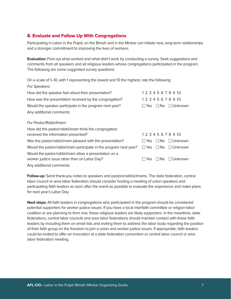#### 8. Evaluate and Follow Up With Congregations

Participating in Labor in the Pulpit, on the Bimah and in the Minbar can initiate new, long-term relationships and a stronger commitment to improving the lives of workers.

**Evaluation:** Find out what worked and what didn't work by conducting a survey. Seek suggestions and comments from all speakers and all religious leaders whose congregations participated in the program. The following are some suggested survey questions:

On a scale of 1–10, with 1 representing the lowest and 10 the highest, rate the following: For Speakers:

| How did the speaker feel about their presentation?      | 1 2 3 4 5 6 7 8 9 10                |
|---------------------------------------------------------|-------------------------------------|
| How was the presentation received by the congregation?  | 12345678910                         |
| Would the speaker participate in the program next year? | $\Box$ Yes $\Box$ No $\Box$ Unknown |
| Any additional comments:                                |                                     |
|                                                         |                                     |

#### For Pastor/Rabbi/Imam:

| How did the pastor/rabbi/imam think the congregation                                                   |                                     |
|--------------------------------------------------------------------------------------------------------|-------------------------------------|
| received the information presented?                                                                    | 12345678910                         |
| Was the pastor/rabbi/imam pleased with the presentation?                                               | $\Box$ Yes $\Box$ No $\Box$ Unknown |
| Would the pastor/rabbi/imam participate in the program next year? $\Box$ Yes $\Box$ No $\Box$ Unknown  |                                     |
| Would the pastor/rabbi/imam allow a presentation on a<br>worker justice issue other than on Labor Day? | $\Box$ Yes $\Box$ No $\Box$ Unknown |
| المقدر والمتموم الممرو القامات والمرادين                                                               |                                     |

Any additional comments:

**Follow-up:** Send thank-you notes to speakers and pastors/rabbis/imams. The state federation, central labor council or area labor federation should consider hosting a meeting of union speakers and participating faith leaders as soon after the event as possible to evaluate the experience and make plans for next year's Labor Day.

**Next steps:** All faith leaders in congregations who participated in the program should be considered potential supporters for worker justice issues. If you have a local interfaith committee or religion-labor coalition or are planning to form one, these religious leaders are likely supporters. In the meantime, state federations, central labor councils and area labor federations should maintain contact with these faith leaders by including them on email lists and inviting them to address the labor body regarding the position of their faith group on the freedom to join a union and worker justice issues. If appropriate, faith leaders could be invited to offer an invocation at a state federation convention or central labor council or area labor federation meeting.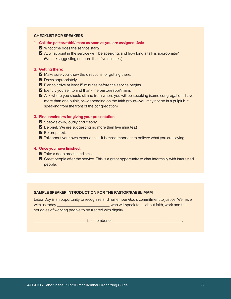#### **CHECKLIST FOR SPEAKERS**

- **1. Call the pastor/rabbi/imam as soon as you are assigned. Ask:**
	- **O** What time does the service start?
	- O At what point in the service will I be speaking, and how long a talk is appropriate? (We are suggesting no more than five minutes.)

#### **2. Getting there:**

- Make sure you know the directions for getting there.
- **Z** Dress appropriately.
- **Z** Plan to arrive at least 15 minutes before the service begins.
- $\blacksquare$  Identify yourself to and thank the pastor/rabbi/imam.
- O Ask where you should sit and from where you will be speaking (some congregations have more than one pulpit, or—depending on the faith group—you may not be in a pulpit but speaking from the front of the congregation).

#### **3. Final reminders for giving your presentation:**

- Speak slowly, loudly and clearly.
- O Be brief. (We are suggesting no more than five minutes.)
- Be prepared.
- O Talk about your own experiences. It is most important to believe what you are saying.

#### **4. Once you have finished:**

- $\blacksquare$  Take a deep breath and smile!
- **O** Greet people after the service. This is a great opportunity to chat informally with interested people.

#### **SAMPLE SPEAKER INTRODUCTION FOR THE PASTOR/RABBI/IMAM**

Labor Day is an opportunity to recognize and remember God's commitment to justice. We have with us today \_\_\_\_\_\_\_\_\_\_\_\_\_\_\_\_\_\_\_\_\_\_\_\_\_\_\_, who will speak to us about faith, work and the struggles of working people to be treated with dignity.

 $\blacksquare$  is a member of  $\blacksquare$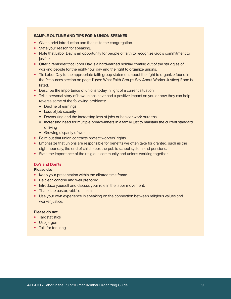#### **SAMPLE OUTLINE AND TIPS FOR A UNION SPEAKER**

- Give a brief introduction and thanks to the congregation.
- State your reason for speaking.
- Note that Labor Day is an opportunity for people of faith to recognize God's commitment to justice.
- Offer a reminder that Labor Day is a hard-earned holiday coming out of the struggles of working people for the eight-hour day and the right to organize unions.
- Tie Labor Day to the appropriate faith group statement about the right to organize found in the Resources section on page 11 (see [What Faith Groups Say About Worker Justice\)](https://drive.google.com/file/d/1Kj8KXojz9V-JbQLkgm0Jc5UCKBTr_unm/view) if one is listed.
- Describe the importance of unions today in light of a current situation.
- Tell a personal story of how unions have had a positive impact on you or how they can help reverse some of the following problems:
	- Decline of earnings
	- Loss of job security
	- Downsizing and the increasing loss of jobs or heavier work burdens
	- Increasing need for multiple breadwinners in a family just to maintain the current standard of living
	- Growing disparity of wealth
- Point out that union contracts protect workers' rights.
- Emphasize that unions are responsible for benefits we often take for granted, such as the eight-hour day, the end of child labor, the public school system and pensions.
- State the importance of the religious community and unions working together.

#### **Do's and Don'ts**

#### **Please do:**

- Keep your presentation within the allotted time frame.
- Be clear, concise and well prepared.
- Introduce yourself and discuss your role in the labor movement.
- Thank the pastor, rabbi or imam.
- Use your own experience in speaking on the connection between religious values and worker justice.

#### **Please do not:**

- Talk statistics
- Use jargon
- Talk for too long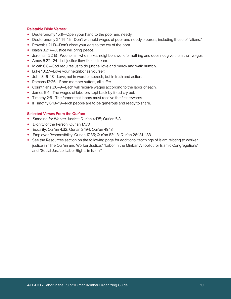#### **Relatable Bible Verses:**

- Deuteronomy 15:11—Open your hand to the poor and needy.
- Deuteronomy 24:14–15—Don't withhold wages of poor and needy laborers, including those of "aliens."
- Proverbs 21:13-Don't close your ears to the cry of the poor.
- Isaiah 32:17—Justice will bring peace.
- Jeremiah 22:13—Woe to him who makes neighbors work for nothing and does not give them their wages.
- Amos 5:22-24-Let justice flow like a stream.
- Micah 6:8—God requires us to do justice, love and mercy and walk humbly.
- Luke 10:27-Love your neighbor as yourself.
- John 3:16–18—Love, not in word or speech, but in truth and action.
- Romans 12:26—If one member suffers, all suffer.
- Corinthians 3:6–9—Each will receive wages according to the labor of each.
- James 5:4—The wages of laborers kept back by fraud cry out.
- Timothy 2:6—The farmer that labors must receive the first rewards.
- II Timothy 6:18–19—Rich people are to be generous and ready to share.

#### **Selected Verses From the Qur'an:**

- Standing for Worker Justice: Qur'an 4:135; Qur'an 5:8
- Dignity of the Person: Qur'an 17:70
- Equality: Qur'an 4:32; Qur'an 3:194; Qur'an 49:13
- Employer Responsibility: Qur'an 17:35; Qur'an 83:1-3; Qur'an 26:181–183
- See the Resources section on the following page for additional teachings of Islam relating to worker justice in "The Qur'an and Worker Justice," "Labor in the Minbar: A Toolkit for Islamic Congregations" and "Social Justice: Labor Rights in Islam."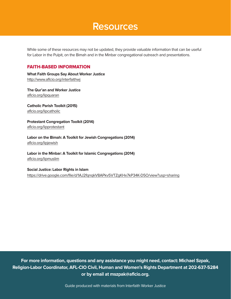### **Resources**

While some of these resources may not be updated, they provide valuable information that can be useful for Labor in the Pulpit, on the Bimah and in the Minbar congregational outreach and presentations.

#### FAITH-BASED INFORMATION

**What Faith Groups Say About Worker Justice** http://www.[aflcio.org/interfaithwj](http://aflcio.org/interfaithwj)

**The Qur'an and Worker Justice**  [aflcio.org/lipquaran](http://aflcio.org/lipquaran)

**Catholic Parish Toolkit (2015)** [aflcio.org/lipcatholic](http://aflcio.org/lipcatholic)

**Protestant Congregation Toolkit (2014)** [aflcio.org/lipprotestant](http://aflcio.org/lipprotestant)

**Labor on the Bimah: A Toolkit for Jewish Congregations (2014)** [aflcio.org/lipjewish](http://aflcio.org/lipjewish)

**Labor in the Minbar: A Toolkit for Islamic Congregations (2014)** [aflcio.org/lipmuslim](http://aflcio.org/lipmuslim)

**Social Justice: Labor Rights in Islam**

<https://drive.google.com/file/d/1AJ2fqnqkV8APkv5VTZgKHx7kP34K-D5O/view?usp=sharing>

**For more information, questions and any assistance you might need, contact: Michael Szpak, Religion-Labor Coordinator, AFL-CIO Civil, Human and Women's Rights Department at 202-637-5284 or by email at mszpak@aflcio.org.**

Guide produced with materials from Interfaith Worker Justice